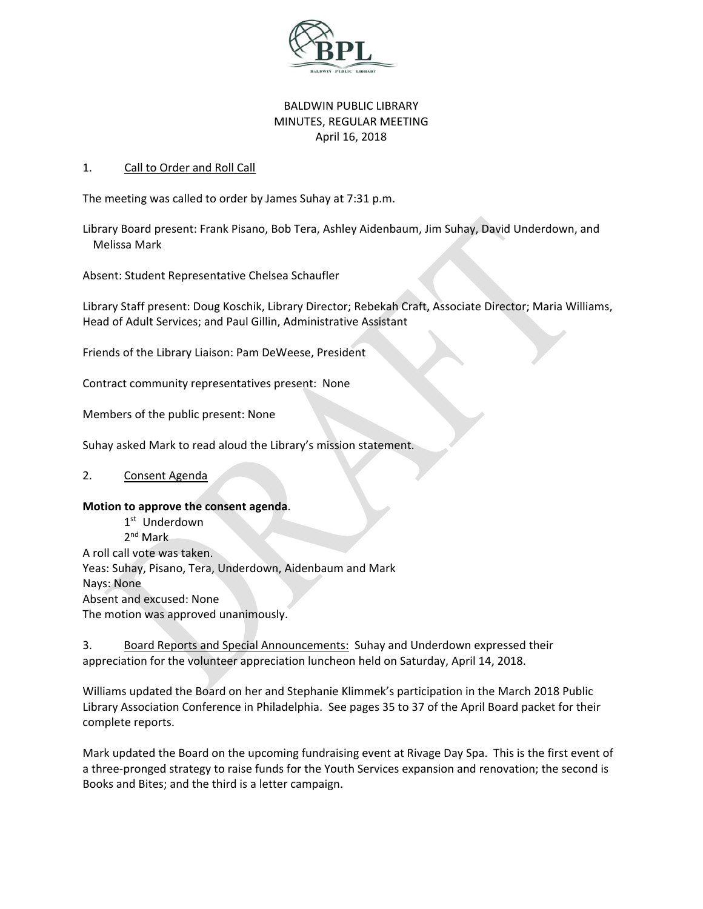

# BALDWIN PUBLIC LIBRARY MINUTES, REGULAR MEETING April 16, 2018

## 1. Call to Order and Roll Call

The meeting was called to order by James Suhay at 7:31 p.m.

Library Board present: Frank Pisano, Bob Tera, Ashley Aidenbaum, Jim Suhay, David Underdown, and Melissa Mark

Absent: Student Representative Chelsea Schaufler

Library Staff present: Doug Koschik, Library Director; Rebekah Craft, Associate Director; Maria Williams, Head of Adult Services; and Paul Gillin, Administrative Assistant

Friends of the Library Liaison: Pam DeWeese, President

Contract community representatives present: None

Members of the public present: None

Suhay asked Mark to read aloud the Library's mission statement.

## 2. Consent Agenda

#### **Motion to approve the consent agenda**.

1<sup>st</sup> Underdown 2nd Mark A roll call vote was taken. Yeas: Suhay, Pisano, Tera, Underdown, Aidenbaum and Mark Nays: None Absent and excused: None The motion was approved unanimously.

3. Board Reports and Special Announcements: Suhay and Underdown expressed their appreciation for the volunteer appreciation luncheon held on Saturday, April 14, 2018.

Williams updated the Board on her and Stephanie Klimmek's participation in the March 2018 Public Library Association Conference in Philadelphia. See pages 35 to 37 of the April Board packet for their complete reports.

Mark updated the Board on the upcoming fundraising event at Rivage Day Spa. This is the first event of a three-pronged strategy to raise funds for the Youth Services expansion and renovation; the second is Books and Bites; and the third is a letter campaign.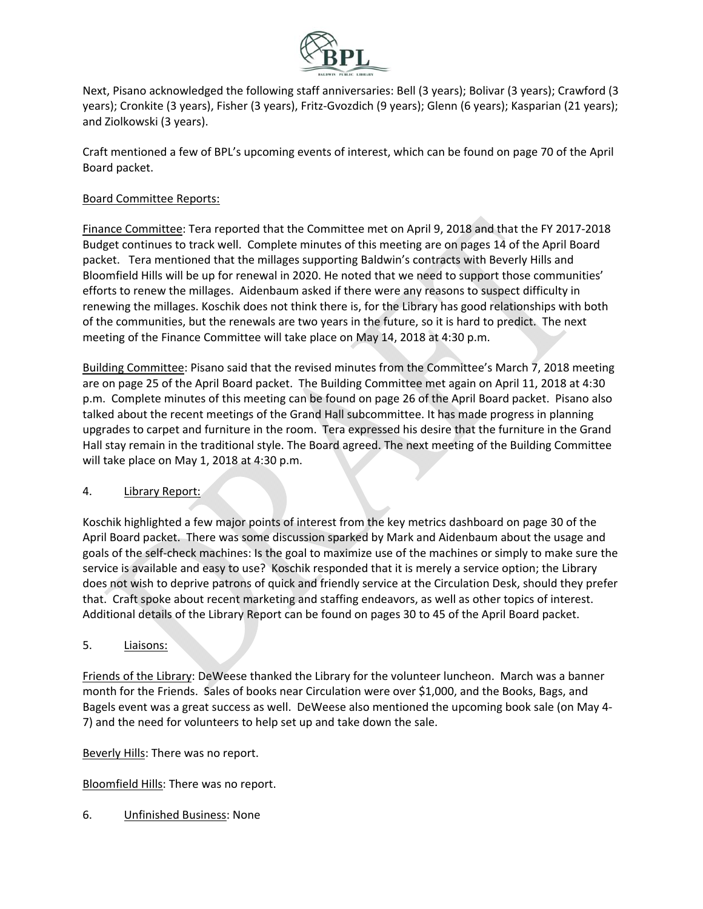

Next, Pisano acknowledged the following staff anniversaries: Bell (3 years); Bolivar (3 years); Crawford (3 years); Cronkite (3 years), Fisher (3 years), Fritz‐Gvozdich (9 years); Glenn (6 years); Kasparian (21 years); and Ziolkowski (3 years).

Craft mentioned a few of BPL's upcoming events of interest, which can be found on page 70 of the April Board packet.

## Board Committee Reports:

Finance Committee: Tera reported that the Committee met on April 9, 2018 and that the FY 2017‐2018 Budget continues to track well. Complete minutes of this meeting are on pages 14 of the April Board packet. Tera mentioned that the millages supporting Baldwin's contracts with Beverly Hills and Bloomfield Hills will be up for renewal in 2020. He noted that we need to support those communities' efforts to renew the millages. Aidenbaum asked if there were any reasons to suspect difficulty in renewing the millages. Koschik does not think there is, for the Library has good relationships with both of the communities, but the renewals are two years in the future, so it is hard to predict. The next meeting of the Finance Committee will take place on May 14, 2018 at 4:30 p.m.

Building Committee: Pisano said that the revised minutes from the Committee's March 7, 2018 meeting are on page 25 of the April Board packet. The Building Committee met again on April 11, 2018 at 4:30 p.m. Complete minutes of this meeting can be found on page 26 of the April Board packet. Pisano also talked about the recent meetings of the Grand Hall subcommittee. It has made progress in planning upgrades to carpet and furniture in the room. Tera expressed his desire that the furniture in the Grand Hall stay remain in the traditional style. The Board agreed. The next meeting of the Building Committee will take place on May 1, 2018 at 4:30 p.m.

## 4. Library Report:

Koschik highlighted a few major points of interest from the key metrics dashboard on page 30 of the April Board packet. There was some discussion sparked by Mark and Aidenbaum about the usage and goals of the self‐check machines: Is the goal to maximize use of the machines or simply to make sure the service is available and easy to use? Koschik responded that it is merely a service option; the Library does not wish to deprive patrons of quick and friendly service at the Circulation Desk, should they prefer that. Craft spoke about recent marketing and staffing endeavors, as well as other topics of interest. Additional details of the Library Report can be found on pages 30 to 45 of the April Board packet.

## 5. Liaisons:

Friends of the Library: DeWeese thanked the Library for the volunteer luncheon. March was a banner month for the Friends. Sales of books near Circulation were over \$1,000, and the Books, Bags, and Bagels event was a great success as well. DeWeese also mentioned the upcoming book sale (on May 4‐ 7) and the need for volunteers to help set up and take down the sale.

Beverly Hills: There was no report.

Bloomfield Hills: There was no report.

6. Unfinished Business: None